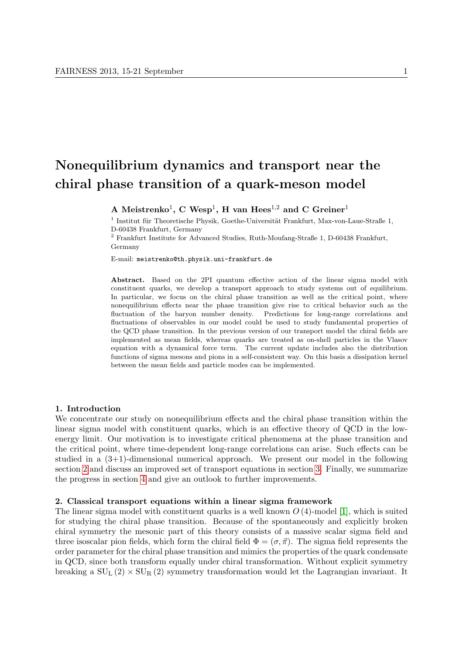# Nonequilibrium dynamics and transport near the chiral phase transition of a quark-meson model

A Meistrenko<sup>1</sup>, C Wesp<sup>1</sup>, H van Hees<sup>1,2</sup> and C Greiner<sup>1</sup>

 $1$  Institut für Theoretische Physik, Goethe-Universität Frankfurt, Max-von-Laue-Straße 1, D-60438 Frankfurt, Germany

<sup>2</sup> Frankfurt Institute for Advanced Studies, Ruth-Moufang-Straße 1, D-60438 Frankfurt, Germany

E-mail: meistrenko@th.physik.uni-frankfurt.de

Abstract. Based on the 2PI quantum effective action of the linear sigma model with constituent quarks, we develop a transport approach to study systems out of equilibrium. In particular, we focus on the chiral phase transition as well as the critical point, where nonequilibrium effects near the phase transition give rise to critical behavior such as the fluctuation of the baryon number density. Predictions for long-range correlations and fluctuations of observables in our model could be used to study fundamental properties of the QCD phase transition. In the previous version of our transport model the chiral fields are implemented as mean fields, whereas quarks are treated as on-shell particles in the Vlasov equation with a dynamical force term. The current update includes also the distribution functions of sigma mesons and pions in a self-consistent way. On this basis a dissipation kernel between the mean fields and particle modes can be implemented.

## 1. Introduction

We concentrate our study on nonequilibrium effects and the chiral phase transition within the linear sigma model with constituent quarks, which is an effective theory of QCD in the lowenergy limit. Our motivation is to investigate critical phenomena at the phase transition and the critical point, where time-dependent long-range correlations can arise. Such effects can be studied in a (3+1)-dimensional numerical approach. We present our model in the following section [2](#page-0-0) and discuss an improved set of transport equations in section [3.](#page-1-0) Finally, we summarize the progress in section [4](#page-4-0) and give an outlook to further improvements.

#### <span id="page-0-0"></span>2. Classical transport equations within a linear sigma framework

The linear sigma model with constituent quarks is a well known  $O(4)$ -model [\[1\]](#page-4-1), which is suited for studying the chiral phase transition. Because of the spontaneously and explicitly broken chiral symmetry the mesonic part of this theory consists of a massive scalar sigma field and three isoscalar pion fields, which form the chiral field  $\Phi = (\sigma, \vec{\pi})$ . The sigma field represents the order parameter for the chiral phase transition and mimics the properties of the quark condensate in QCD, since both transform equally under chiral transformation. Without explicit symmetry breaking a  $SU_L(2) \times SU_R(2)$  symmetry transformation would let the Lagrangian invariant. It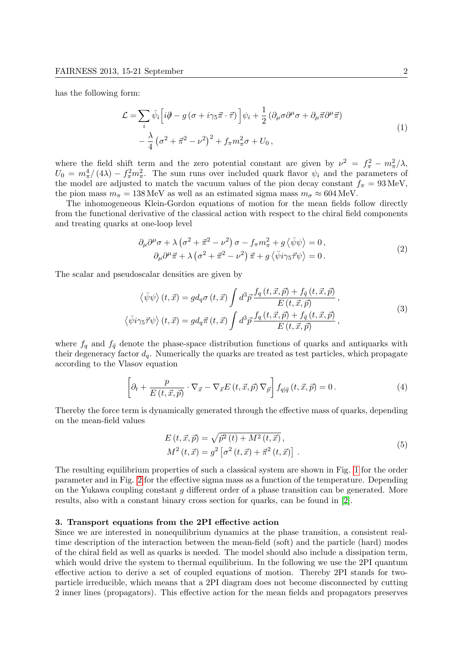has the following form:

<span id="page-1-1"></span>
$$
\mathcal{L} = \sum_{i} \bar{\psi}_{i} \left[ i\partial - g \left( \sigma + i\gamma_{5}\vec{\pi} \cdot \vec{\tau} \right) \right] \psi_{i} + \frac{1}{2} \left( \partial_{\mu}\sigma \partial^{\mu}\sigma + \partial_{\mu}\vec{\pi}\partial^{\mu}\vec{\pi} \right) \n- \frac{\lambda}{4} \left( \sigma^{2} + \vec{\pi}^{2} - \nu^{2} \right)^{2} + f_{\pi} m_{\pi}^{2} \sigma + U_{0},
$$
\n(1)

where the field shift term and the zero potential constant are given by  $\nu^2 = f_{\pi}^2 - m_{\pi}^2/\lambda$ ,  $U_0 = m_\pi^4/(4\lambda) - f_\pi^2 m_\pi^2$ . The sum runs over included quark flavor  $\psi_i$  and the parameters of the model are adjusted to match the vacuum values of the pion decay constant  $f_{\pi} = 93 \text{ MeV}$ , the pion mass  $m_{\pi} = 138 \text{ MeV}$  as well as an estimated sigma mass  $m_{\sigma} \approx 604 \text{ MeV}$ .

The inhomogeneous Klein-Gordon equations of motion for the mean fields follow directly from the functional derivative of the classical action with respect to the chiral field components and treating quarks at one-loop level

<span id="page-1-2"></span>
$$
\partial_{\mu}\partial^{\mu}\sigma + \lambda \left(\sigma^{2} + \vec{\pi}^{2} - \nu^{2}\right)\sigma - f_{\pi}m_{\pi}^{2} + g\left\langle\bar{\psi}\psi\right\rangle = 0, \n\partial_{\mu}\partial^{\mu}\vec{\pi} + \lambda \left(\sigma^{2} + \vec{\pi}^{2} - \nu^{2}\right)\vec{\pi} + g\left\langle\bar{\psi}i\gamma_{5}\vec{\tau}\psi\right\rangle = 0.
$$
\n(2)

The scalar and pseudoscalar densities are given by

$$
\langle \bar{\psi}\psi \rangle (t, \vec{x}) = g d_q \sigma (t, \vec{x}) \int d^3 \vec{p} \frac{f_q(t, \vec{x}, \vec{p}) + f_{\bar{q}}(t, \vec{x}, \vec{p})}{E(t, \vec{x}, \vec{p})},
$$
  

$$
\langle \bar{\psi}i\gamma_5 \vec{\tau} \psi \rangle (t, \vec{x}) = g d_q \vec{\pi} (t, \vec{x}) \int d^3 \vec{p} \frac{f_q(t, \vec{x}, \vec{p}) + f_{\bar{q}}(t, \vec{x}, \vec{p})}{E(t, \vec{x}, \vec{p})},
$$

$$
(3)
$$

where  $f_q$  and  $f_{\bar{q}}$  denote the phase-space distribution functions of quarks and antiquarks with their degeneracy factor  $d_q$ . Numerically the quarks are treated as test particles, which propagate according to the Vlasov equation

<span id="page-1-3"></span>
$$
\left[\partial_t + \frac{p}{E(t, \vec{x}, \vec{p})} \cdot \nabla_{\vec{x}} - \nabla_{\vec{x}} E(t, \vec{x}, \vec{p}) \nabla_{\vec{p}}\right] f_{q|\bar{q}}(t, \vec{x}, \vec{p}) = 0. \tag{4}
$$

Thereby the force term is dynamically generated through the effective mass of quarks, depending on the mean-field values

$$
E(t, \vec{x}, \vec{p}) = \sqrt{\vec{p}^2(t) + M^2(t, \vec{x})},
$$
  
\n
$$
M^2(t, \vec{x}) = g^2 \left[ \sigma^2(t, \vec{x}) + \vec{\pi}^2(t, \vec{x}) \right].
$$
\n(5)

The resulting equilibrium properties of such a classical system are shown in Fig. [1](#page-2-0) for the order parameter and in Fig. [2](#page-2-1) for the effective sigma mass as a function of the temperature. Depending on the Yukawa coupling constant g different order of a phase transition can be generated. More results, also with a constant binary cross section for quarks, can be found in [\[2\]](#page-4-2).

## <span id="page-1-0"></span>3. Transport equations from the 2PI effective action

Since we are interested in nonequilibrium dynamics at the phase transition, a consistent realtime description of the interaction between the mean-field (soft) and the particle (hard) modes of the chiral field as well as quarks is needed. The model should also include a dissipation term, which would drive the system to thermal equilibrium. In the following we use the 2PI quantum effective action to derive a set of coupled equations of motion. Thereby 2PI stands for twoparticle irreducible, which means that a 2PI diagram does not become disconnected by cutting 2 inner lines (propagators). This effective action for the mean fields and propagators preserves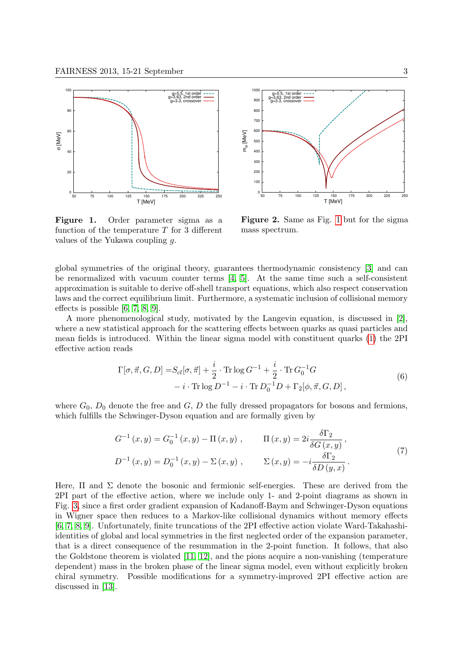

<span id="page-2-0"></span>Figure 1. Order parameter sigma as a function of the temperature  $T$  for 3 different values of the Yukawa coupling  $q$ .



<span id="page-2-1"></span>Figure 2. Same as Fig. [1](#page-2-0) but for the sigma mass spectrum.

global symmetries of the original theory, guarantees thermodynamic consistency [\[3\]](#page-4-3) and can be renormalized with vacuum counter terms  $[4, 5]$  $[4, 5]$ . At the same time such a self-consistent approximation is suitable to derive off-shell transport equations, which also respect conservation laws and the correct equilibrium limit. Furthermore, a systematic inclusion of collisional memory effects is possible [\[6,](#page-4-6) [7,](#page-4-7) [8,](#page-4-8) [9\]](#page-4-9).

A more phenomenological study, motivated by the Langevin equation, is discussed in [\[2\]](#page-4-2), where a new statistical approach for the scattering effects between quarks as quasi particles and mean fields is introduced. Within the linear sigma model with constituent quarks [\(1\)](#page-1-1) the 2PI effective action reads

$$
\Gamma[\sigma, \vec{\pi}, G, D] = S_{cl}[\sigma, \vec{\pi}] + \frac{i}{2} \cdot \text{Tr} \log G^{-1} + \frac{i}{2} \cdot \text{Tr} G_0^{-1} G - i \cdot \text{Tr} \log D^{-1} - i \cdot \text{Tr} D_0^{-1} D + \Gamma_2[\phi, \vec{\pi}, G, D],
$$
\n(6)

where  $G_0$ ,  $D_0$  denote the free and  $G$ ,  $D$  the fully dressed propagators for bosons and fermions, which fulfills the Schwinger-Dyson equation and are formally given by

<span id="page-2-2"></span>
$$
G^{-1}(x, y) = G_0^{-1}(x, y) - \Pi(x, y), \qquad \Pi(x, y) = 2i \frac{\delta \Gamma_2}{\delta G(x, y)},
$$
  

$$
D^{-1}(x, y) = D_0^{-1}(x, y) - \Sigma(x, y), \qquad \Sigma(x, y) = -i \frac{\delta \Gamma_2}{\delta D(y, x)}.
$$
 (7)

Here,  $\Pi$  and  $\Sigma$  denote the bosonic and fermionic self-energies. These are derived from the 2PI part of the effective action, where we include only 1- and 2-point diagrams as shown in Fig. [3,](#page-3-0) since a first order gradient expansion of Kadanoff-Baym and Schwinger-Dyson equations in Wigner space then reduces to a Markov-like collisional dynamics without memory effects [\[6,](#page-4-6) [7,](#page-4-7) [8,](#page-4-8) [9\]](#page-4-9). Unfortunately, finite truncations of the 2PI effective action violate Ward-Takahashiidentities of global and local symmetries in the first neglected order of the expansion parameter, that is a direct consequence of the resummation in the 2-point function. It follows, that also the Goldstone theorem is violated [\[11,](#page-4-10) [12\]](#page-4-11), and the pions acquire a non-vanishing (temperature dependent) mass in the broken phase of the linear sigma model, even without explicitly broken chiral symmetry. Possible modifications for a symmetry-improved 2PI effective action are discussed in [\[13\]](#page-4-12).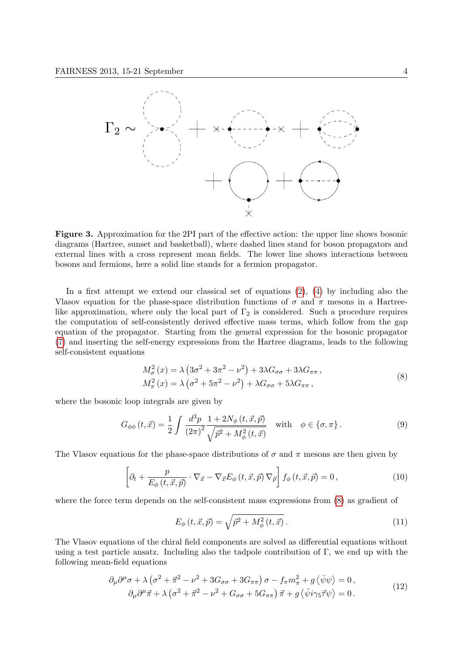

<span id="page-3-0"></span>Figure 3. Approximation for the 2PI part of the effective action: the upper line shows bosonic diagrams (Hartree, sunset and basketball), where dashed lines stand for boson propagators and external lines with a cross represent mean fields. The lower line shows interactions between bosons and fermions, here a solid line stands for a fermion propagator.

In a first attempt we extend our classical set of equations [\(2\)](#page-1-2), [\(4\)](#page-1-3) by including also the Vlasov equation for the phase-space distribution functions of  $\sigma$  and  $\pi$  mesons in a Hartreelike approximation, where only the local part of  $\Gamma_2$  is considered. Such a procedure requires the computation of self-consistently derived effective mass terms, which follow from the gap equation of the propagator. Starting from the general expression for the bosonic propagator [\(7\)](#page-2-2) and inserting the self-energy expressions from the Hartree diagrams, leads to the following self-consistent equations

<span id="page-3-1"></span>
$$
M_{\sigma}^{2}(x) = \lambda \left(3\sigma^{2} + 3\pi^{2} - \nu^{2}\right) + 3\lambda G_{\sigma\sigma} + 3\lambda G_{\pi\pi},
$$
  
\n
$$
M_{\pi}^{2}(x) = \lambda \left(\sigma^{2} + 5\pi^{2} - \nu^{2}\right) + \lambda G_{\sigma\sigma} + 5\lambda G_{\pi\pi},
$$
\n(8)

where the bosonic loop integrals are given by

$$
G_{\phi\phi}(t,\vec{x}) = \frac{1}{2} \int \frac{d^3p}{(2\pi)^2} \frac{1 + 2N_{\phi}(t,\vec{x},\vec{p})}{\sqrt{\vec{p}^2 + M_{\phi}^2(t,\vec{x})}} \quad \text{with} \quad \phi \in \{\sigma, \pi\}.
$$
 (9)

The Vlasov equations for the phase-space distributions of  $\sigma$  and  $\pi$  mesons are then given by

$$
\left[\partial_t + \frac{p}{E_\phi(t, \vec{x}, \vec{p})} \cdot \nabla_{\vec{x}} - \nabla_{\vec{x}} E_\phi(t, \vec{x}, \vec{p}) \nabla_{\vec{p}}\right] f_\phi(t, \vec{x}, \vec{p}) = 0, \tag{10}
$$

where the force term depends on the self-consistent mass expressions from [\(8\)](#page-3-1) as gradient of

<span id="page-3-3"></span><span id="page-3-2"></span>
$$
E_{\phi}(t, \vec{x}, \vec{p}) = \sqrt{\vec{p}^2 + M_{\phi}^2(t, \vec{x})}.
$$
 (11)

The Vlasov equations of the chiral field components are solved as differential equations without using a test particle ansatz. Including also the tadpole contribution of Γ, we end up with the following mean-field equations

$$
\partial_{\mu}\partial^{\mu}\sigma + \lambda \left(\sigma^{2} + \vec{\pi}^{2} - \nu^{2} + 3G_{\sigma\sigma} + 3G_{\pi\pi}\right)\sigma - f_{\pi}m_{\pi}^{2} + g\left\langle \bar{\psi}\psi \right\rangle = 0, \n\partial_{\mu}\partial^{\mu}\vec{\pi} + \lambda \left(\sigma^{2} + \vec{\pi}^{2} - \nu^{2} + G_{\sigma\sigma} + 5G_{\pi\pi}\right)\vec{\pi} + g\left\langle \bar{\psi}i\gamma_{5}\vec{\tau}\psi \right\rangle = 0.
$$
\n(12)